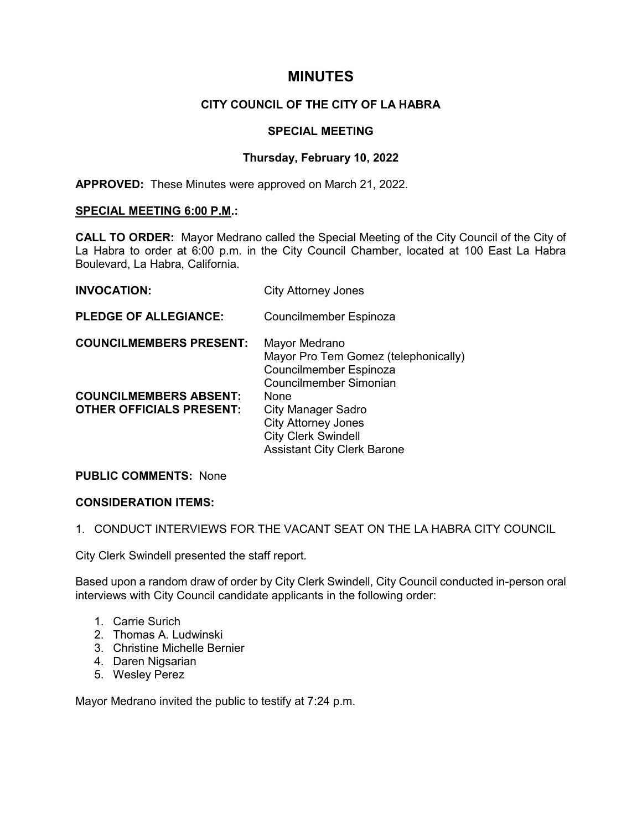# **MINUTES**

# **CITY COUNCIL OF THE CITY OF LA HABRA**

### **SPECIAL MEETING**

# **Thursday, February 10, 2022**

**APPROVED:** These Minutes were approved on March 21, 2022.

#### **SPECIAL MEETING 6:00 P.M.:**

**CALL TO ORDER:** Mayor Medrano called the Special Meeting of the City Council of the City of La Habra to order at 6:00 p.m. in the City Council Chamber, located at 100 East La Habra Boulevard, La Habra, California.

| <b>INVOCATION:</b>                                               | <b>City Attorney Jones</b>                                                                                                          |
|------------------------------------------------------------------|-------------------------------------------------------------------------------------------------------------------------------------|
| <b>PLEDGE OF ALLEGIANCE:</b>                                     | Councilmember Espinoza                                                                                                              |
| <b>COUNCILMEMBERS PRESENT:</b>                                   | Mayor Medrano<br>Mayor Pro Tem Gomez (telephonically)<br>Councilmember Espinoza<br>Councilmember Simonian                           |
| <b>COUNCILMEMBERS ABSENT:</b><br><b>OTHER OFFICIALS PRESENT:</b> | None<br><b>City Manager Sadro</b><br><b>City Attorney Jones</b><br><b>City Clerk Swindell</b><br><b>Assistant City Clerk Barone</b> |

#### **PUBLIC COMMENTS:** None

### **CONSIDERATION ITEMS:**

#### 1. CONDUCT INTERVIEWS FOR THE VACANT SEAT ON THE LA HABRA CITY COUNCIL

City Clerk Swindell presented the staff report.

Based upon a random draw of order by City Clerk Swindell, City Council conducted in-person oral interviews with City Council candidate applicants in the following order:

- 1. Carrie Surich
- 2. Thomas A. Ludwinski
- 3. Christine Michelle Bernier
- 4. Daren Nigsarian
- 5. Wesley Perez

Mayor Medrano invited the public to testify at 7:24 p.m.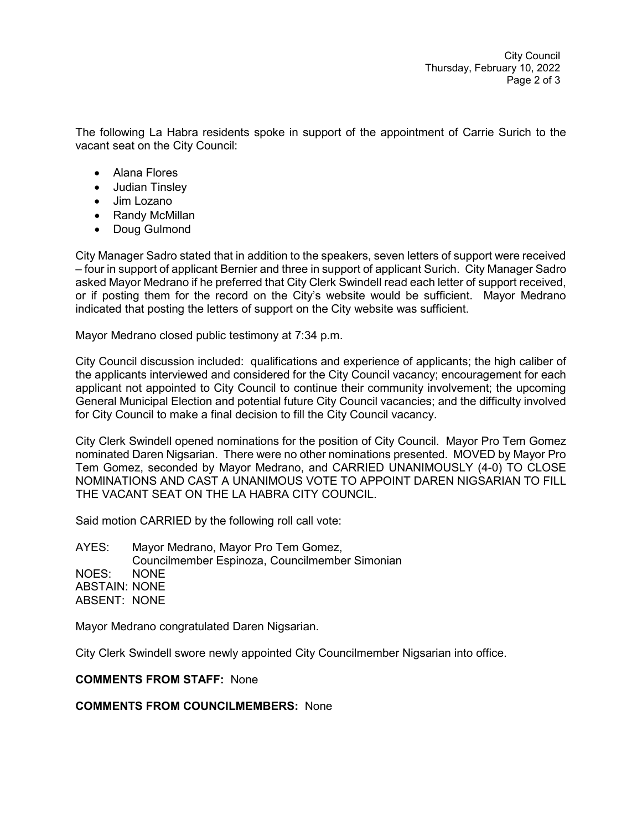The following La Habra residents spoke in support of the appointment of Carrie Surich to the vacant seat on the City Council:

- Alana Flores
- Judian Tinsley
- Jim Lozano
- Randy McMillan
- Doug Gulmond

City Manager Sadro stated that in addition to the speakers, seven letters of support were received – four in support of applicant Bernier and three in support of applicant Surich. City Manager Sadro asked Mayor Medrano if he preferred that City Clerk Swindell read each letter of support received, or if posting them for the record on the City's website would be sufficient. Mayor Medrano indicated that posting the letters of support on the City website was sufficient.

Mayor Medrano closed public testimony at 7:34 p.m.

City Council discussion included: qualifications and experience of applicants; the high caliber of the applicants interviewed and considered for the City Council vacancy; encouragement for each applicant not appointed to City Council to continue their community involvement; the upcoming General Municipal Election and potential future City Council vacancies; and the difficulty involved for City Council to make a final decision to fill the City Council vacancy.

City Clerk Swindell opened nominations for the position of City Council. Mayor Pro Tem Gomez nominated Daren Nigsarian. There were no other nominations presented. MOVED by Mayor Pro Tem Gomez, seconded by Mayor Medrano, and CARRIED UNANIMOUSLY (4-0) TO CLOSE NOMINATIONS AND CAST A UNANIMOUS VOTE TO APPOINT DAREN NIGSARIAN TO FILL THE VACANT SEAT ON THE LA HABRA CITY COUNCIL.

Said motion CARRIED by the following roll call vote:

AYES: Mayor Medrano, Mayor Pro Tem Gomez, Councilmember Espinoza, Councilmember Simonian NOES: NONE ABSTAIN: NONE ABSENT: NONE

Mayor Medrano congratulated Daren Nigsarian.

City Clerk Swindell swore newly appointed City Councilmember Nigsarian into office.

#### **COMMENTS FROM STAFF:** None

## **COMMENTS FROM COUNCILMEMBERS:** None